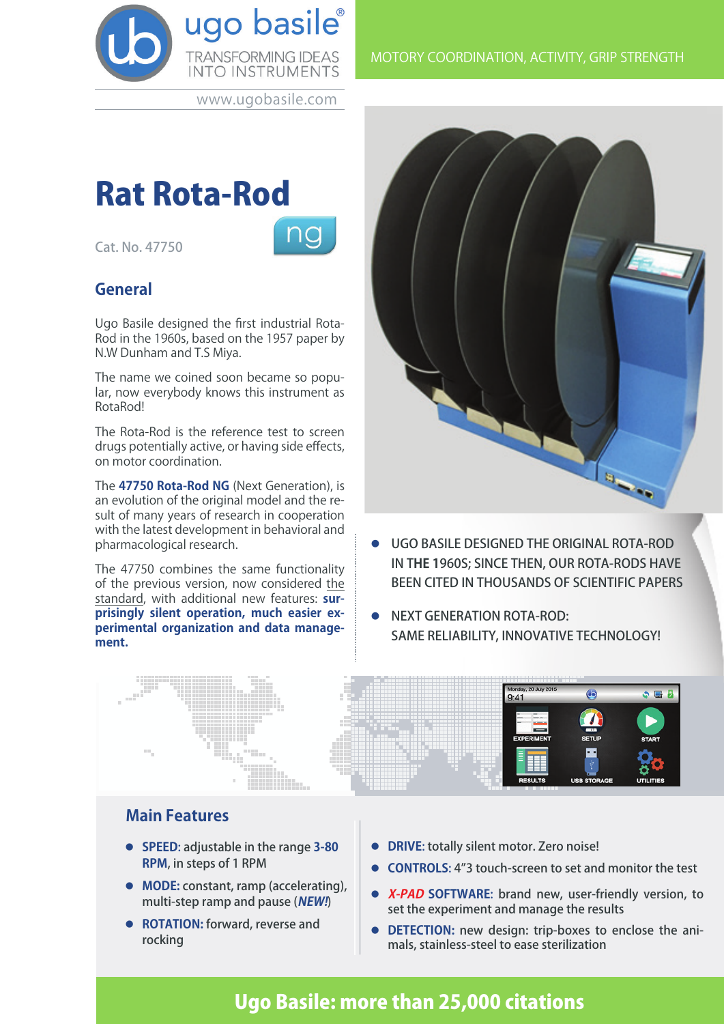

www.ugobasile.com

# Rat Rota-Rod

Cat. No. 47750



### **General**

Ugo Basile designed the first industrial Rota-Rod in the 1960s, based on the 1957 paper by N.W Dunham and T.S Miya.

The name we coined soon became so popular, now everybody knows this instrument as RotaRod!

The Rota-Rod is the reference test to screen drugs potentially active, or having side effects, on motor coordination.

The **47750 Rota-Rod NG** (Next Generation), is an evolution of the original model and the result of many years of research in cooperation with the latest development in behavioral and pharmacological research.

The 47750 combines the same functionality of the previous version, now considered the standard, with additional new features: **surprisingly silent operation, much easier experimental organization and data management.** 



- l UGO BASILE DESIGNED THE ORIGINAL ROTA-ROD IN T**HE 1**960S; SINCE THEN, OUR ROTA-RODS HAVE BEEN CITED IN THOUSANDS OF SCIENTIFIC PAPERS
- **NEXT GENERATION ROTA-ROD:** SAME RELIABILITY, INNOVATIVE TECHNOLOGY!



#### **Main Features**

- l **SPEED**: adjustable in the range **3-80 RPM**, in steps of 1 RPM
- **MODE:** constant, ramp (accelerating), multi-step ramp and pause (**NEW!**)
- **ROTATION:** forward, reverse and rocking
- **DRIVE: totally silent motor. Zero noise!**
- **CONTROLS:** 4"3 touch-screen to set and monitor the test
- **X-PAD SOFTWARE:** brand new, user-friendly version, to set the experiment and manage the results
- **DETECTION:** new design: trip-boxes to enclose the animals, stainless-steel to ease sterilization

## Ugo Basile: more than 25,000 citations